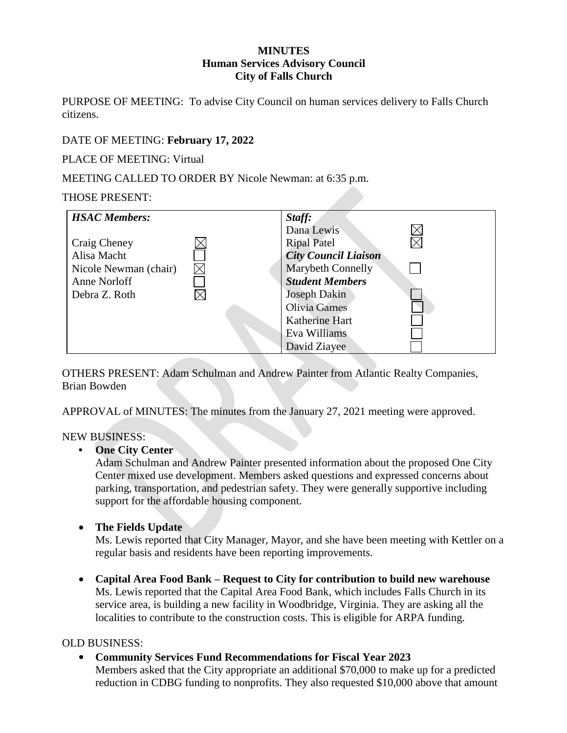#### **MINUTES Human Services Advisory Council City of Falls Church**

PURPOSE OF MEETING: To advise City Council on human services delivery to Falls Church citizens.

# DATE OF MEETING: **February 17, 2022**

PLACE OF MEETING: Virtual

MEETING CALLED TO ORDER BY Nicole Newman: at 6:35 p.m.

## THOSE PRESENT:

| <b>HSAC Members:</b>  | Staff:                      |  |
|-----------------------|-----------------------------|--|
|                       | Dana Lewis                  |  |
| Craig Cheney          | <b>Ripal Patel</b>          |  |
| Alisa Macht           | <b>City Council Liaison</b> |  |
| Nicole Newman (chair) | Marybeth Connelly           |  |
| Anne Norloff          | <b>Student Members</b>      |  |
| Debra Z. Roth         | <b>Joseph Dakin</b>         |  |
|                       | Olivia Games                |  |
|                       | Katherine Hart              |  |
|                       | Eva Williams                |  |
|                       | David Ziayee                |  |

OTHERS PRESENT: Adam Schulman and Andrew Painter from Atlantic Realty Companies, Brian Bowden

APPROVAL of MINUTES: The minutes from the January 27, 2021 meeting were approved.

### NEW BUSINESS:

### **• One City Center**

Adam Schulman and Andrew Painter presented information about the proposed One City Center mixed use development. Members asked questions and expressed concerns about parking, transportation, and pedestrian safety. They were generally supportive including support for the affordable housing component.

• **The Fields Update**

Ms. Lewis reported that City Manager, Mayor, and she have been meeting with Kettler on a regular basis and residents have been reporting improvements.

• **Capital Area Food Bank – Request to City for contribution to build new warehouse**  Ms. Lewis reported that the Capital Area Food Bank, which includes Falls Church in its service area, is building a new facility in Woodbridge, Virginia. They are asking all the localities to contribute to the construction costs. This is eligible for ARPA funding.

## OLD BUSINESS:

• **Community Services Fund Recommendations for Fiscal Year 2023**

Members asked that the City appropriate an additional \$70,000 to make up for a predicted reduction in CDBG funding to nonprofits. They also requested \$10,000 above that amount